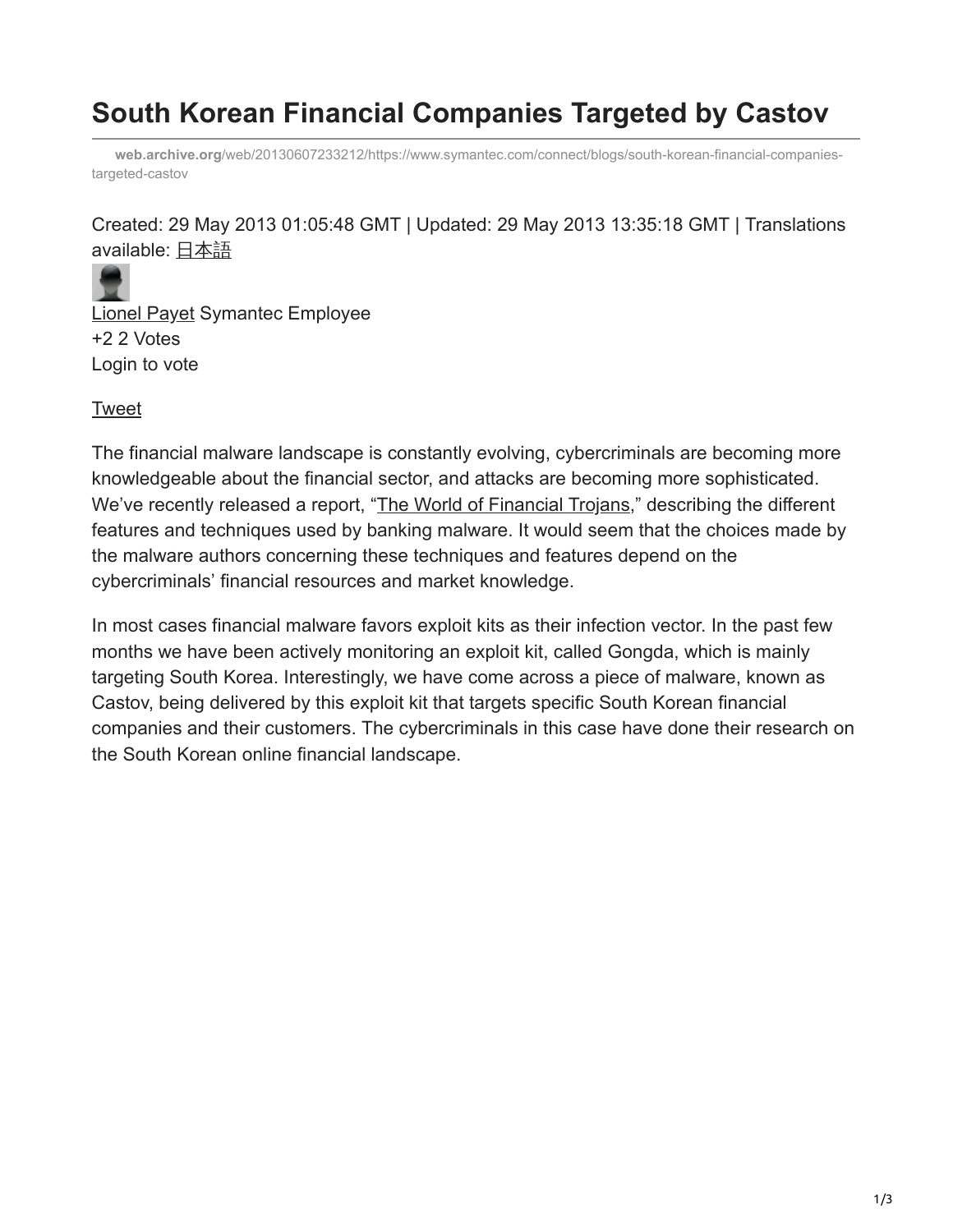## **South Korean Financial Companies Targeted by Castov**

**web.archive.org**[/web/20130607233212/https://www.symantec.com/connect/blogs/south-korean-financial-companies](https://web.archive.org/web/20130607233212/https://www.symantec.com/connect/blogs/south-korean-financial-companies-targeted-castov)targeted-castov

Created: 29 May 2013 01:05:48 GMT | Updated: 29 May 2013 13:35:18 GMT | Translations available: [日本語](https://web.archive.org/web/20130607233212/https:/www.symantec.com/connect/blogs/castov)



[Lionel Payet](https://web.archive.org/web/20130607233212/https:/www.symantec.com/connect/user/siprowx974) Symantec Employee +2 2 Votes Login to vote

[Tweet](https://web.archive.org/web/20130607233212/https://twitter.com/share)

The financial malware landscape is constantly evolving, cybercriminals are becoming more knowledgeable about the financial sector, and attacks are becoming more sophisticated. We've recently released a report, ["The World of Financial Trojans,](https://web.archive.org/web/20130607233212/http://www.symantec.com/content/en/us/enterprise/media/security_response/whitepapers/the_world_of_financial_trojans.pdf)" describing the different features and techniques used by banking malware. It would seem that the choices made by the malware authors concerning these techniques and features depend on the cybercriminals' financial resources and market knowledge.

In most cases financial malware favors exploit kits as their infection vector. In the past few months we have been actively monitoring an exploit kit, called Gongda, which is mainly targeting South Korea. Interestingly, we have come across a piece of malware, known as Castov, being delivered by this exploit kit that targets specific South Korean financial companies and their customers. The cybercriminals in this case have done their research on the South Korean online financial landscape.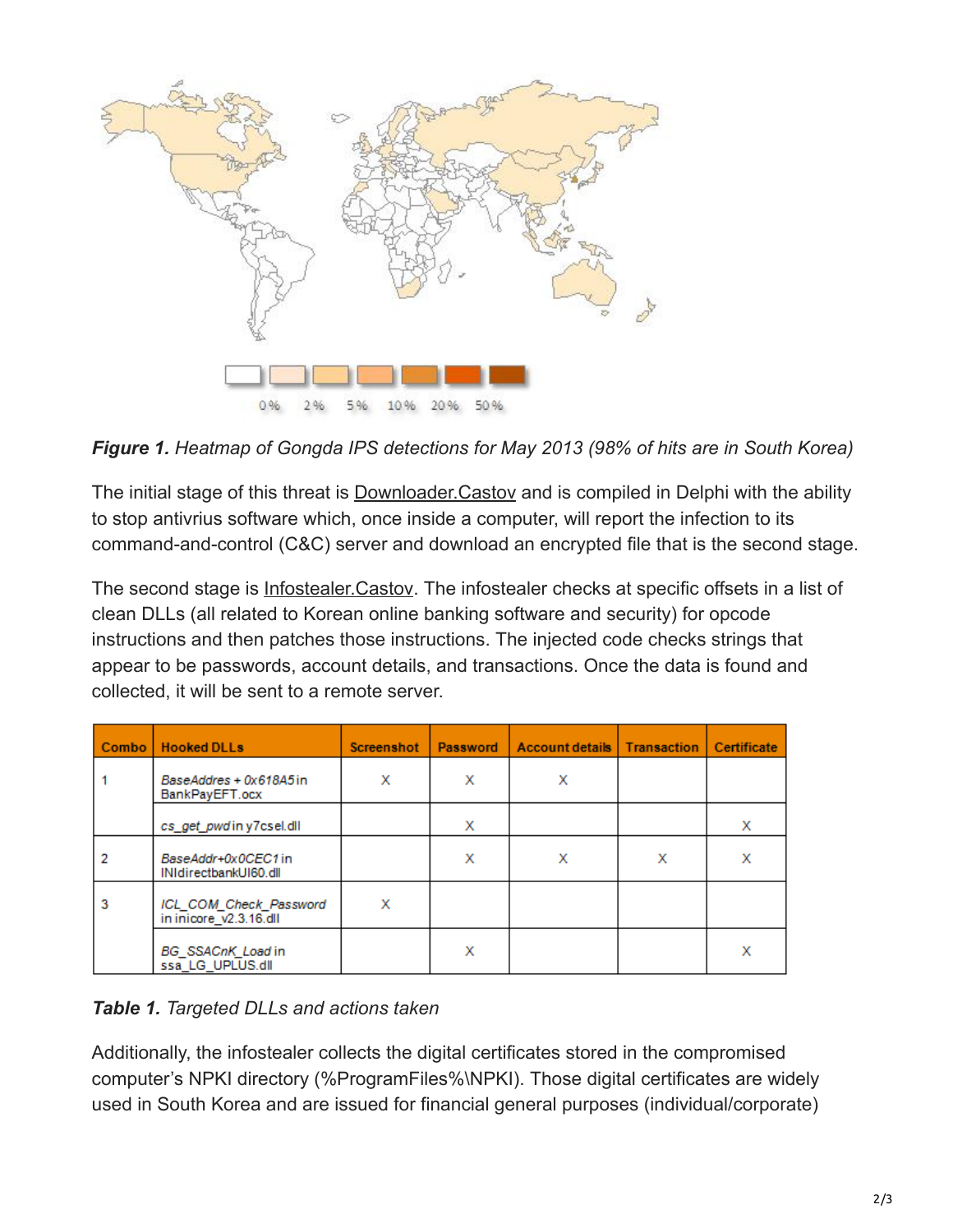

*Figure 1. Heatmap of Gongda IPS detections for May 2013 (98% of hits are in South Korea)*

The initial stage of this threat is **Downloader. Castov** and is compiled in Delphi with the ability to stop antivrius software which, once inside a computer, will report the infection to its command-and-control (C&C) server and download an encrypted file that is the second stage.

The second stage is **Infostealer.Castov**. The infostealer checks at specific offsets in a list of clean DLLs (all related to Korean online banking software and security) for opcode instructions and then patches those instructions. The injected code checks strings that appear to be passwords, account details, and transactions. Once the data is found and collected, it will be sent to a remote server.

|   | Combo   Hooked DLLs                              | <b>Screenshot</b> | Password | Account details   Transaction   Certificate |   |   |
|---|--------------------------------------------------|-------------------|----------|---------------------------------------------|---|---|
|   | BaseAddres + 0x618A5in<br>BankPayEFT.ocx         | x                 | х        | Х                                           |   |   |
|   | cs_get_pwdiny7csel.dll                           |                   | х        |                                             |   | х |
|   | BaseAddr+0x0CEC1in<br>INIdirectbankUI60.dll      |                   | х        | х                                           | х | x |
| 3 | ICL COM Check Password<br>in inicore_v2.3.16.dll | х                 |          |                                             |   |   |
|   | BG_SSACnK_Load in<br>ssa_LG_UPLUS.dll            |                   | х        |                                             |   | x |

## *Table 1. Targeted DLLs and actions taken*

Additionally, the infostealer collects the digital certificates stored in the compromised computer's NPKI directory (%ProgramFiles%\NPKI). Those digital certificates are widely used in South Korea and are issued for financial general purposes (individual/corporate)